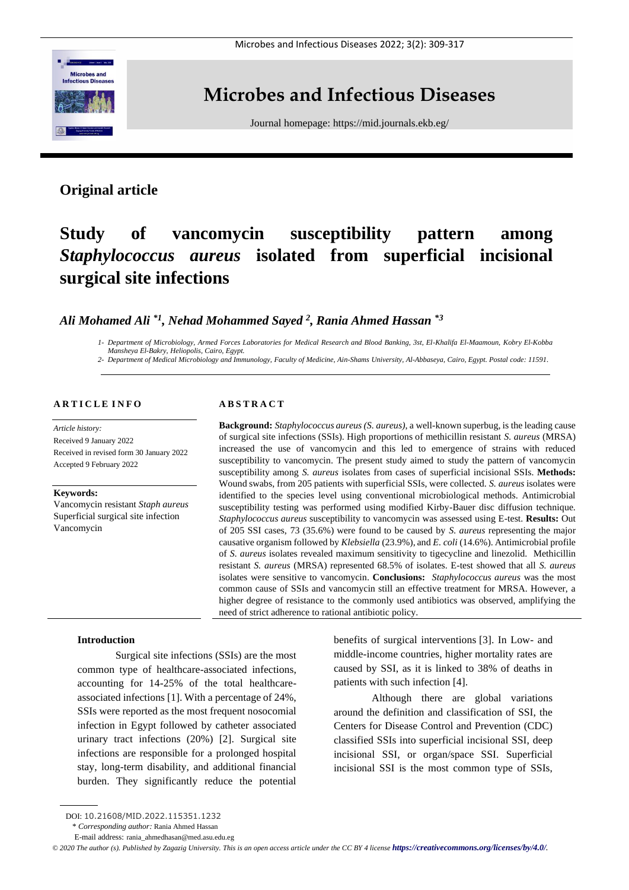

## **Microbes and Infectious Diseases**

Journal homepage:<https://mid.journals.ekb.eg/>

### **Original article**

# **Study of vancomycin susceptibility pattern among**  *Staphylococcus aureus* **isolated from superficial incisional surgical site infections**

### *Ali Mohamed Ali \*1 , Nehad Mohammed Sayed <sup>2</sup> , Rania Ahmed Hassan \*3*

*1- Department of Microbiology, Armed Forces Laboratories for Medical Research and Blood Banking, 3st, El-Khalifa El-Maamoun, Kobry El-Kobba Mansheya El-Bakry, Heliopolis, Cairo, Egypt.*

*2- Department of Medical Microbiology and Immunology, Faculty of Medicine, Ain-Shams University, Al-Abbaseya, Cairo, Egypt. Postal code: 11591.*

#### **A R T I C L E I N F O**

*Article history:*  Received 9 January 2022 Received in revised form 30 January 2022 Accepted 9 February 2022

#### **Keywords:**

Vancomycin resistant *Staph aureus* Superficial surgical site infection Vancomycin

#### **A B S T R A C T**

**Background:** *Staphylococcus aureus (S. aureus)*, a well-known superbug, is the leading cause of surgical site infections (SSIs). High proportions of methicillin resistant *S. aureus* (MRSA) increased the use of vancomycin and this led to emergence of strains with reduced susceptibility to vancomycin. The present study aimed to study the pattern of vancomycin susceptibility among *S. aureus* isolates from cases of superficial incisional SSIs. **Methods:** Wound swabs, from 205 patients with superficial SSIs, were collected. *S. aureus* isolates were identified to the species level using conventional microbiological methods. Antimicrobial susceptibility testing was performed using modified Kirby-Bauer disc diffusion technique. *Staphylococcus aureus* susceptibility to vancomycin was assessed using E-test. **Results:** Out of 205 SSI cases, 73 (35.6%) were found to be caused by *S. aureus* representing the major causative organism followed by *Klebsiella* (23.9%), and *E. coli* (14.6%). Antimicrobial profile of *S. aureus* isolates revealed maximum sensitivity to tigecycline and linezolid. Methicillin resistant *S. aureus* (MRSA) represented 68.5% of isolates. E-test showed that all *S. aureus* isolates were sensitive to vancomycin. **Conclusions:** *Staphylococcus aureus* was the most common cause of SSIs and vancomycin still an effective treatment for MRSA. However, a higher degree of resistance to the commonly used antibiotics was observed, amplifying the need of strict adherence to rational antibiotic policy.

#### **Introduction**

Surgical site infections (SSIs) are the most common type of healthcare-associated infections, accounting for 14-25% of the total healthcareassociated infections [1]. With a percentage of 24%, SSIs were reported as the most frequent nosocomial infection in Egypt followed by catheter associated urinary tract infections (20%) [2]. Surgical site infections are responsible for a prolonged hospital stay, long-term disability, and additional financial burden. They significantly reduce the potential benefits of surgical interventions [3]. In Low- and middle-income countries, higher mortality rates are caused by SSI, as it is linked to 38% of deaths in patients with such infection [4].

Although there are global variations around the definition and classification of SSI, the Centers for Disease Control and Prevention (CDC) classified SSIs into superficial incisional SSI, deep incisional SSI, or organ/space SSI. Superficial incisional SSI is the most common type of SSIs,

*© 2020 The author (s). Published by Zagazig University. This is an open access article under the CC BY 4 license <https://creativecommons.org/licenses/by/4.0/>.*

DOI: 10.21608/MID.2022.115351.1232

<sup>\*</sup> *Corresponding author:* Rania Ahmed Hassan

E-mail address: rania\_ahmedhasan@med.asu.edu.eg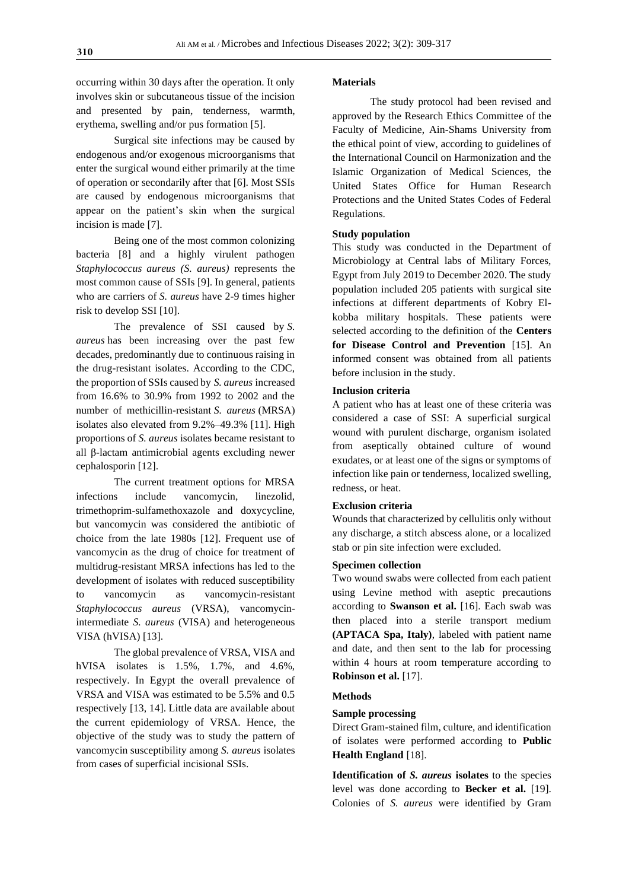occurring within 30 days after the operation. It only involves skin or subcutaneous tissue of the incision and presented by pain, tenderness, warmth, erythema, swelling and/or pus formation [5].

Surgical site infections may be caused by endogenous and/or exogenous microorganisms that enter the surgical wound either primarily at the time of operation or secondarily after that [6]. Most SSIs are caused by endogenous microorganisms that appear on the patient's skin when the surgical incision is made [7].

Being one of the most common colonizing bacteria [8] and a highly virulent pathogen *Staphylococcus aureus (S. aureus)* represents the most common cause of SSIs [9]. In general, patients who are carriers of *S. aureus* have 2-9 times higher risk to develop SSI [10].

The prevalence of SSI caused by *S. aureus* has been increasing over the past few decades, predominantly due to continuous raising in the drug-resistant isolates. According to the CDC, the proportion of SSIs caused by *S. aureus* increased from 16.6% to 30.9% from 1992 to 2002 and the number of methicillin-resistant *S. aureus* (MRSA) isolates also elevated from 9.2%–49.3% [11]. High proportions of *S. aureus* isolates became resistant to all β-lactam antimicrobial agents excluding newer cephalosporin [12].

The current treatment options for MRSA infections include vancomycin, linezolid, trimethoprim-sulfamethoxazole and doxycycline, but vancomycin was considered the antibiotic of choice from the late 1980s [12]. Frequent use of vancomycin as the drug of choice for treatment of multidrug-resistant MRSA infections has led to the development of isolates with reduced susceptibility to vancomycin as vancomycin-resistant *Staphylococcus aureus* (VRSA), vancomycinintermediate *S. aureus* (VISA) and heterogeneous VISA (hVISA) [13].

The global prevalence of VRSA, VISA and hVISA isolates is 1.5%, 1.7%, and 4.6%, respectively. In Egypt the overall prevalence of VRSA and VISA was estimated to be 5.5% and 0.5 respectively [13, 14]. Little data are available about the current epidemiology of VRSA. Hence, the objective of the study was to study the pattern of vancomycin susceptibility among *S. aureus* isolates from cases of superficial incisional SSIs.

#### **Materials**

The study protocol had been revised and approved by the Research Ethics Committee of the Faculty of Medicine, Ain-Shams University from the ethical point of view, according to guidelines of the International Council on Harmonization and the Islamic Organization of Medical Sciences, the United States Office for Human Research Protections and the United States Codes of Federal Regulations.

#### **Study population**

This study was conducted in the Department of Microbiology at Central labs of Military Forces, Egypt from July 2019 to December 2020. The study population included 205 patients with surgical site infections at different departments of Kobry Elkobba military hospitals. These patients were selected according to the definition of the **Centers for Disease Control and Prevention** [15]. An informed consent was obtained from all patients before inclusion in the study.

#### **Inclusion criteria**

A patient who has at least one of these criteria was considered a case of SSI: A superficial surgical wound with purulent discharge, organism isolated from aseptically obtained culture of wound exudates, or at least one of the signs or symptoms of infection like pain or tenderness, localized swelling, redness, or heat.

#### **Exclusion criteria**

Wounds that characterized by cellulitis only without any discharge, a stitch abscess alone, or a localized stab or pin site infection were excluded.

#### **Specimen collection**

Two wound swabs were collected from each patient using Levine method with aseptic precautions according to **Swanson et al.** [16]. Each swab was then placed into a sterile transport medium **(APTACA Spa, Italy)**, labeled with patient name and date, and then sent to the lab for processing within 4 hours at room temperature according to **Robinson et al.** [17].

#### **Methods**

#### **Sample processing**

Direct Gram-stained film, culture, and identification of isolates were performed according to **Public Health England** [18].

**Identification of** *S. aureus* **isolates** to the species level was done according to **Becker et al.** [19]. Colonies of *S. aureus* were identified by Gram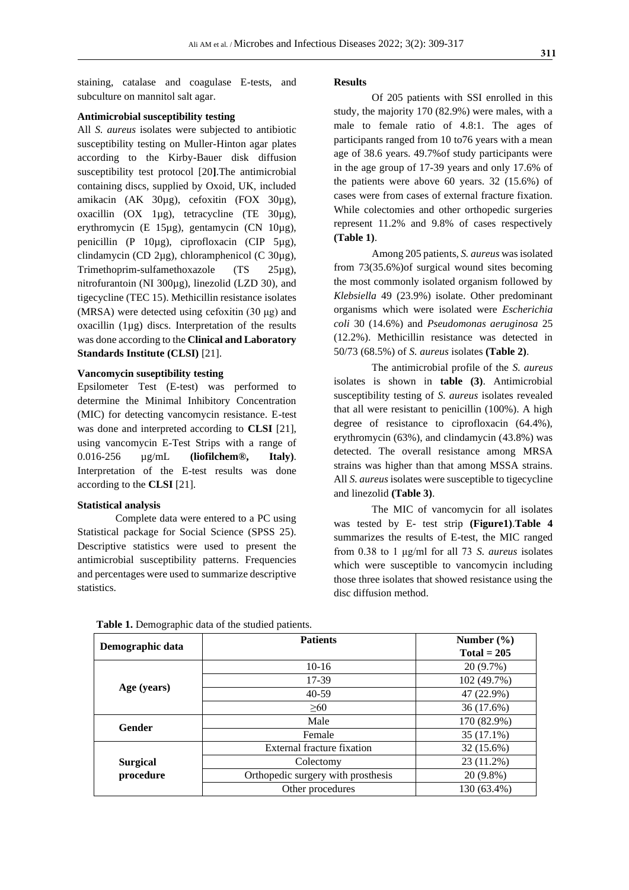staining, catalase and coagulase E-tests, and subculture on mannitol salt agar.

#### **Antimicrobial susceptibility testing**

All *S. aureus* isolates were subjected to antibiotic susceptibility testing on Muller-Hinton agar plates according to the Kirby-Bauer disk diffusion susceptibility test protocol [20**]**.The antimicrobial containing discs, supplied by Oxoid, UK, included amikacin (AK 30µg), cefoxitin (FOX 30µg), oxacillin (OX 1µg), tetracycline (TE 30µg), erythromycin (E 15µg), gentamycin (CN 10µg), penicillin (P 10µg), ciprofloxacin (CIP 5µg), clindamycin (CD 2µg), chloramphenicol (C 30µg), Trimethoprim-sulfamethoxazole (TS 25µg), nitrofurantoin (NI 300µg), linezolid (LZD 30), and tigecycline (TEC 15). Methicillin resistance isolates (MRSA) were detected using cefoxitin (30 μg) and oxacillin (1µg) discs. Interpretation of the results was done according to the **Clinical and Laboratory Standards Institute (CLSI)** [21].

#### **Vancomycin suseptibility testing**

Epsilometer Test (E-test) was performed to determine the Minimal Inhibitory Concentration (MIC) for detecting vancomycin resistance. E-test was done and interpreted according to **CLSI** [21], using vancomycin E-Test Strips with a range of 0.016-256 µg/mL **(liofilchem®, Italy)**. Interpretation of the E-test results was done according to the **CLSI** [21].

#### **Statistical analysis**

Complete data were entered to a PC using Statistical package for Social Science (SPSS 25). Descriptive statistics were used to present the antimicrobial susceptibility patterns. Frequencies and percentages were used to summarize descriptive statistics.

#### **Results**

Of 205 patients with SSI enrolled in this study, the majority 170 (82.9%) were males, with a male to female ratio of 4.8:1. The ages of participants ranged from 10 to76 years with a mean age of 38.6 years. 49.7%of study participants were in the age group of 17-39 years and only 17.6% of the patients were above 60 years. 32 (15.6%) of cases were from cases of external fracture fixation. While colectomies and other orthopedic surgeries represent 11.2% and 9.8% of cases respectively **(Table 1)**.

Among 205 patients, *S. aureus* was isolated from 73(35.6%)of surgical wound sites becoming the most commonly isolated organism followed by *Klebsiella* 49 (23.9%) isolate. Other predominant organisms which were isolated were *Escherichia coli* 30 (14.6%) and *Pseudomonas aeruginosa* 25 (12.2%). Methicillin resistance was detected in 50/73 (68.5%) of *S. aureus* isolates **(Table 2)**.

The antimicrobial profile of the *S. aureus* isolates is shown in **table (3)**. Antimicrobial susceptibility testing of *S. aureus* isolates revealed that all were resistant to penicillin (100%). A high degree of resistance to ciprofloxacin (64.4%), erythromycin (63%), and clindamycin (43.8%) was detected. The overall resistance among MRSA strains was higher than that among MSSA strains. All *S. aureus* isolates were susceptible to tigecycline and linezolid **(Table 3)**.

The MIC of vancomycin for all isolates was tested by E- test strip **(Figure1)**.**Table 4** summarizes the results of E-test, the MIC ranged from 0.38 to 1 μg/ml for all 73 *S. aureus* isolates which were susceptible to vancomycin including those three isolates that showed resistance using the disc diffusion method.

| Demographic data | <b>Patients</b>                    | Number $(\% )$ |
|------------------|------------------------------------|----------------|
|                  |                                    | $Total = 205$  |
|                  | $10-16$                            | 20 (9.7%)      |
|                  | 17-39                              | 102 (49.7%)    |
| Age (years)      | $40-59$                            | 47 (22.9%)     |
|                  | $\geq 60$                          | 36 (17.6%)     |
| <b>Gender</b>    | Male                               | 170 (82.9%)    |
|                  | Female                             | 35 (17.1%)     |
|                  | External fracture fixation         | 32 (15.6%)     |
| <b>Surgical</b>  | Colectomy                          | 23 (11.2%)     |
| procedure        | Orthopedic surgery with prosthesis | 20 (9.8%)      |
|                  | Other procedures                   | 130 (63.4%)    |

Table 1. Demographic data of the studied patients.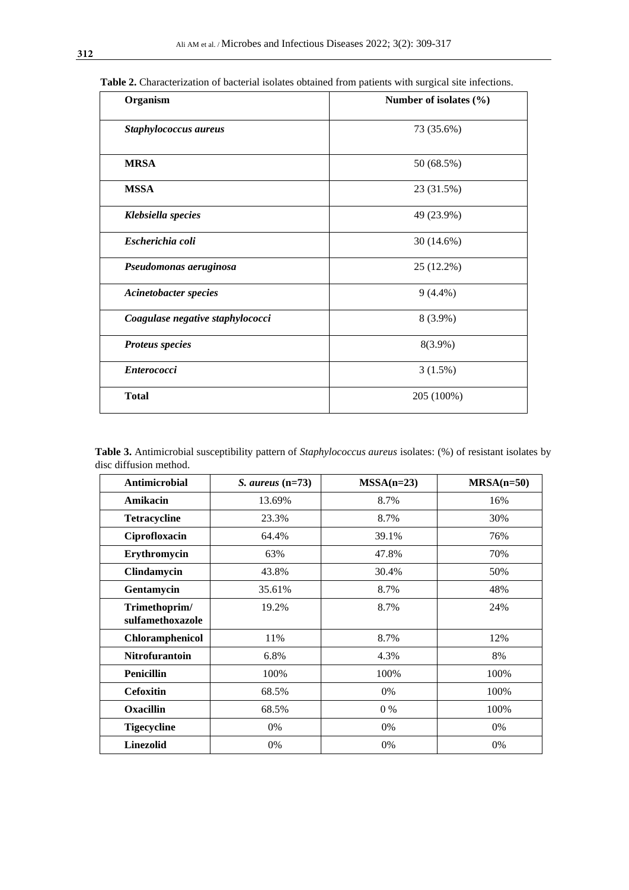| Organism                         | Number of isolates $(\% )$ |  |  |
|----------------------------------|----------------------------|--|--|
| Staphylococcus aureus            | 73 (35.6%)                 |  |  |
| <b>MRSA</b>                      | 50 (68.5%)                 |  |  |
| <b>MSSA</b>                      | 23 (31.5%)                 |  |  |
| Klebsiella species               | 49 (23.9%)                 |  |  |
| Escherichia coli                 | 30 (14.6%)                 |  |  |
| Pseudomonas aeruginosa           | 25 (12.2%)                 |  |  |
| <b>Acinetobacter species</b>     | $9(4.4\%)$                 |  |  |
| Coagulase negative staphylococci | 8 (3.9%)                   |  |  |
| <b>Proteus species</b>           | 8(3.9%)                    |  |  |
| <b>Enterococci</b>               | 3(1.5%)                    |  |  |
| <b>Total</b>                     | 205 (100%)                 |  |  |

 **Table 2.** Characterization of bacterial isolates obtained from patients with surgical site infections.

| Table 3. Antimicrobial susceptibility pattern of <i>Staphylococcus aureus</i> isolates: (%) of resistant isolates by |  |  |
|----------------------------------------------------------------------------------------------------------------------|--|--|
| disc diffusion method.                                                                                               |  |  |

| <b>Antimicrobial</b>              | $S.$ aureus $(n=73)$ | $MSSA(n=23)$ | $MRSA(n=50)$ |
|-----------------------------------|----------------------|--------------|--------------|
| Amikacin                          | 13.69%               | 8.7%         | 16%          |
| <b>Tetracycline</b>               | 23.3%                | 8.7%         | 30%          |
| Ciprofloxacin                     | 64.4%                | 39.1%        | 76%          |
| Erythromycin                      | 63%                  | 47.8%        | 70%          |
| Clindamycin                       | 43.8%                | 30.4%        | 50%          |
| Gentamycin                        | 35.61%               | 8.7%         | 48%          |
| Trimethoprim/<br>sulfamethoxazole | 19.2%                | 8.7%         | 24%          |
| Chloramphenicol                   | 11%                  | 8.7%         | 12%          |
| <b>Nitrofurantoin</b>             | 6.8%                 | 4.3%         | 8%           |
| <b>Penicillin</b>                 | 100%                 | 100%         | 100%         |
| <b>Cefoxitin</b>                  | 68.5%                | $0\%$        | 100%         |
| <b>Oxacillin</b>                  | 68.5%                | $0\%$        | 100%         |
| <b>Tigecycline</b>                | 0%                   | 0%           | 0%           |
| <b>Linezolid</b>                  | 0%                   | 0%           | 0%           |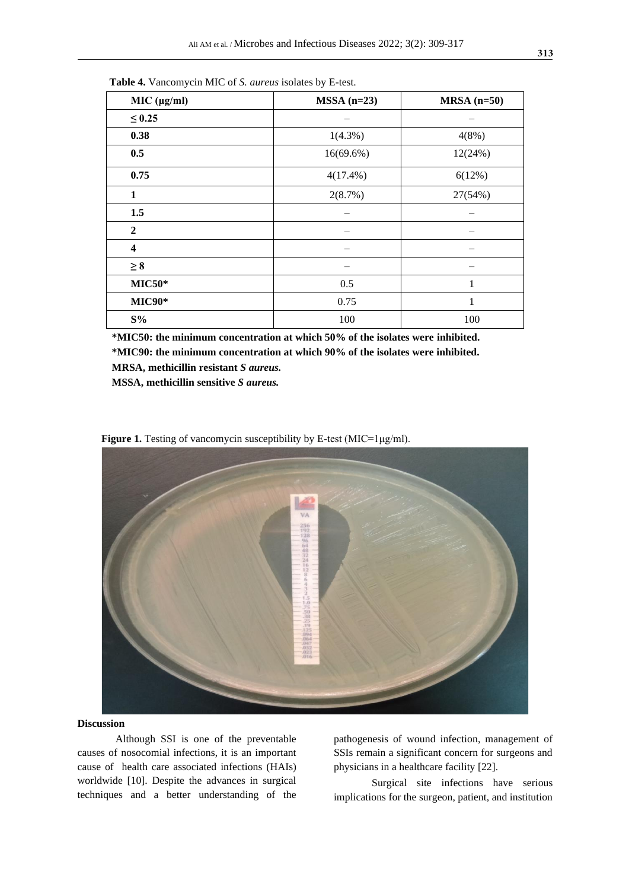| MIC (µg/ml)             | $MSSA$ (n=23) | $MRSA(n=50)$ |
|-------------------------|---------------|--------------|
| $\leq 0.25$             |               |              |
| 0.38                    | $1(4.3\%)$    | 4(8%)        |
| 0.5                     | $16(69.6\%)$  | 12(24%)      |
| 0.75                    | $4(17.4\%)$   | 6(12%)       |
| $\mathbf{1}$            | 2(8.7%)       | 27(54%)      |
| 1.5                     |               |              |
| $\boldsymbol{2}$        |               |              |
| $\overline{\mathbf{4}}$ |               |              |
| $\geq 8$                |               |              |
| $MIC50*$                | 0.5           | 1            |
| <b>MIC90*</b>           | 0.75          | 1            |
| $S\%$                   | 100           | 100          |

 **Table 4.** Vancomycin MIC of *S. aureus* isolates by E-test.

**\*MIC50: the minimum concentration at which 50% of the isolates were inhibited. \*MIC90: the minimum concentration at which 90% of the isolates were inhibited.**

**MRSA, methicillin resistant** *S aureus.*

**MSSA, methicillin sensitive** *S aureus.*

 **Figure 1.** Testing of vancomycin susceptibility by E-test (MIC=1μg/ml). VA 25月2396时相3224161286

#### **Discussion**

Although SSI is one of the preventable causes of nosocomial infections, it is an important cause of health care associated infections (HAIs) worldwide [10]. Despite the advances in surgical techniques and a better understanding of the pathogenesis of wound infection, management of SSIs remain a significant concern for surgeons and physicians in a healthcare facility [22].

Surgical site infections have [serious](https://www.wordhippo.com/what-is/another-word-for/disastrous.html) implications for the surgeon, patient, and institution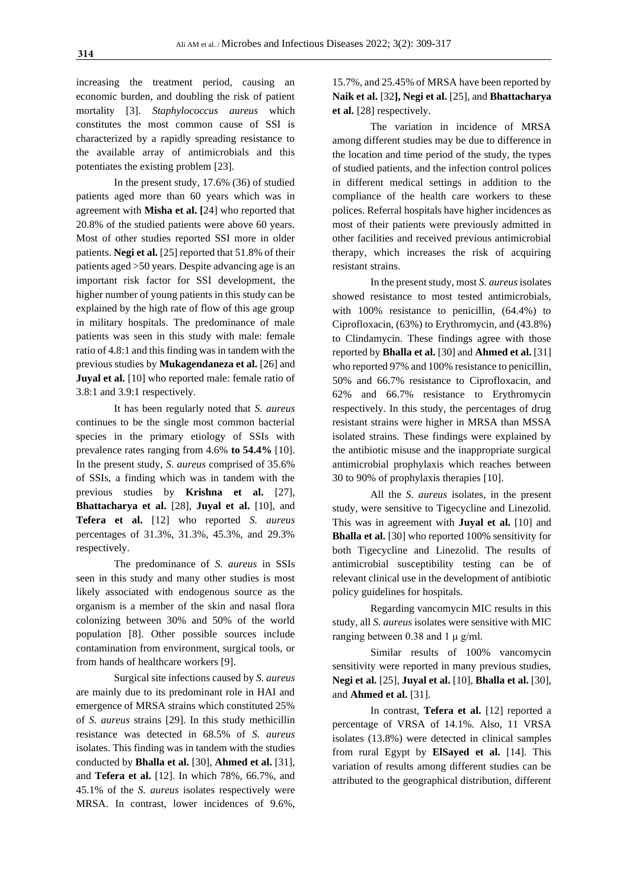increasing the treatment period, causing an economic burden, and doubling the risk of patient mortality [3]. *Staphylococcus aureus* which constitutes the most common cause of SSI is characterized by a rapidly spreading resistance to the available array of antimicrobials and this potentiates the existing problem [23].

In the present study, 17.6% (36) of studied patients aged more than 60 years which was in agreement with **Misha et al. [**24] who reported that 20.8% of the studied patients were above 60 years. Most of other studies reported SSI more in older patients. **Negi et al.** [25] reported that 51.8% of their patients aged >50 years. Despite advancing age is an important risk factor for SSI development, the higher number of young patients in this study can be explained by the high rate of flow of this age group in military hospitals. The predominance of male patients was seen in this study with male: female ratio of 4.8:1 and this finding was in tandem with the previous studies by **Mukagendaneza et al.** [26] and **Juyal et al.** [10] who reported male: female ratio of 3.8:1 and 3.9:1 respectively.

It has been regularly noted that *S. aureus* continues to be the single most common bacterial species in the primary etiology of SSIs with prevalence rates ranging from 4.6% **to 54.4%** [10]. In the present study, *S. aureus* comprised of 35.6% of SSIs, a finding which was in tandem with the previous studies by **Krishna et al.** [27], **Bhattacharya et al.** [28], **Juyal et al.** [10], and **Tefera et al.** [12] who reported *S. aureus* percentages of 31.3%, 31.3%, 45.3%, and 29.3% respectively.

The predominance of *S. aureus* in SSIs seen in this study and many other studies is most likely associated with endogenous source as the organism is a member of the skin and nasal flora colonizing between 30% and 50% of the world population [8]. Other possible sources include contamination from environment, surgical tools, or from hands of healthcare workers [9].

Surgical site infections caused by *S. aureus*  are mainly due to its predominant role in HAI and emergence of MRSA strains which constituted 25% of *S. aureus* strains [29]. In this study methicillin resistance was detected in 68.5% of *S. aureus* isolates. This finding was in tandem with the studies conducted by **Bhalla et al.** [30], **Ahmed et al.** [31], and **Tefera et al.** [12]. In which 78%, 66.7%, and 45.1% of the *S. aureus* isolates respectively were MRSA. In contrast, lower incidences of 9.6%,

15.7%, and 25.45% of MRSA have been reported by **Naik et al.** [32**], Negi et al.** [25], and **Bhattacharya et al.** [28] respectively.

The variation in incidence of MRSA among different studies may be due to difference in the location and time period of the study, the types of studied patients, and the infection control polices in different medical settings in addition to the compliance of the health care workers to these polices. Referral hospitals have higher incidences as most of their patients were previously admitted in other facilities and received previous antimicrobial therapy, which increases the risk of acquiring resistant strains.

In the present study, most *S. aureus*isolates showed resistance to most tested antimicrobials, with 100% resistance to penicillin, (64.4%) to Ciprofloxacin, (63%) to Erythromycin, and (43.8%) to Clindamycin. These findings agree with those reported by **Bhalla et al.** [30] and **Ahmed et al.** [31] who reported 97% and 100% resistance to penicillin, 50% and 66.7% resistance to Ciprofloxacin, and 62% and 66.7% resistance to Erythromycin respectively. In this study, the percentages of drug resistant strains were higher in MRSA than MSSA isolated strains. These findings were explained by the antibiotic misuse and the inappropriate surgical antimicrobial prophylaxis which reaches between 30 to 90% of prophylaxis therapies [10].

All the *S. aureus* isolates, in the present study, were sensitive to Tigecycline and Linezolid. This was in agreement with **Juyal et al.** [10] and **Bhalla et al.** [30] who reported 100% sensitivity for both Tigecycline and Linezolid. The results of antimicrobial susceptibility testing can be of relevant clinical use in the development of antibiotic policy guidelines for hospitals.

Regarding vancomycin MIC results in this study, all *S. aureus* isolates were sensitive with MIC ranging between 0.38 and 1 μ g/ml.

Similar results of 100% vancomycin sensitivity were reported in many previous studies, **Negi et al.** [25], **Juyal et al.** [10], **Bhalla et al.** [30], and **Ahmed et al.** [31].

In contrast, **Tefera et al.** [12] reported a percentage of VRSA of 14.1%. Also, 11 VRSA isolates (13.8%) were detected in clinical samples from rural Egypt by **ElSayed et al.** [14]. This variation of results among different studies can be attributed to the geographical distribution, different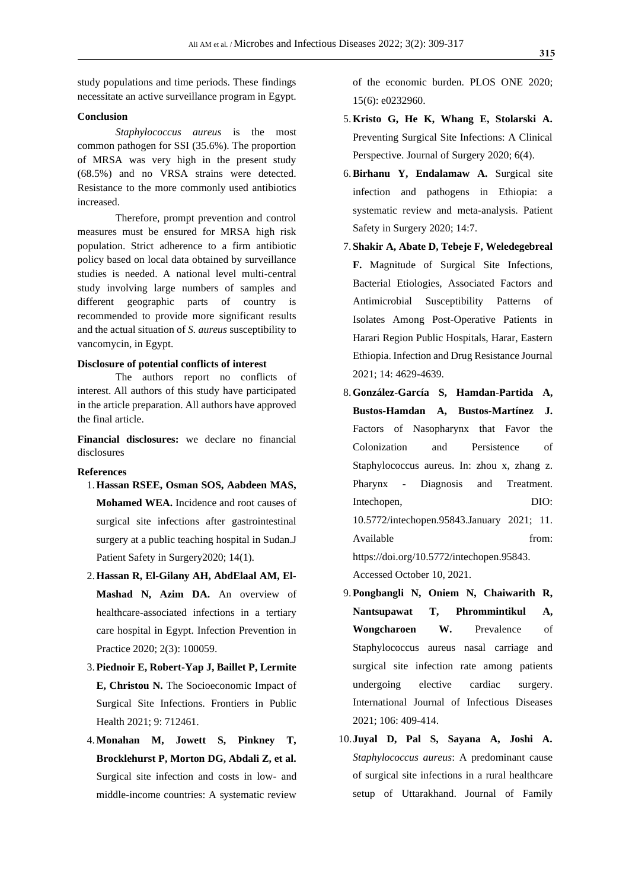study populations and time periods. These findings necessitate an active surveillance program in Egypt.

#### **Conclusion**

*Staphylococcus aureus* is the most common pathogen for SSI (35.6%). The proportion of MRSA was very high in the present study (68.5%) and no VRSA strains were detected. Resistance to the more commonly used antibiotics increased.

Therefore, prompt prevention and control measures must be ensured for MRSA high risk population. Strict adherence to a firm antibiotic policy based on local data obtained by surveillance studies is needed. A national level multi-central study involving large numbers of samples and different geographic parts of country is recommended to provide more significant results and the actual situation of *S. aureus* susceptibility to vancomycin, in Egypt.

#### **Disclosure of potential conflicts of interest**

The authors report no conflicts of interest. All authors of this study have participated in the article preparation. All authors have approved the final article.

**Financial disclosures:** we declare no financial disclosures

#### **References**

- 1.**Hassan RSEE, Osman SOS, Aabdeen MAS, Mohamed WEA.** Incidence and root causes of surgical site infections after gastrointestinal surgery at a public teaching hospital in Sudan.J Patient Safety in Surgery2020; 14(1).
- 2.**Hassan R, El-Gilany AH, AbdElaal AM, El-Mashad N, Azim DA.** An overview of healthcare-associated infections in a tertiary care hospital in Egypt. Infection Prevention in Practice 2020; 2(3): 100059.
- 3.**Piednoir E, Robert-Yap J, Baillet P, Lermite E, Christou N.** The Socioeconomic Impact of Surgical Site Infections. Frontiers in Public Health 2021; 9: 712461.
- 4.**Monahan M, Jowett S, Pinkney T, Brocklehurst P, Morton DG, Abdali Z, et al.** Surgical site infection and costs in low- and middle-income countries: A systematic review

of the economic burden. PLOS ONE 2020; 15(6): e0232960.

- 5.**Kristo G, He K, Whang E, Stolarski A.** Preventing Surgical Site Infections: A Clinical Perspective. Journal of Surgery 2020; 6(4).
- 6.**Birhanu Y, Endalamaw A.** Surgical site infection and pathogens in Ethiopia: a systematic review and meta-analysis. Patient Safety in Surgery 2020; 14:7.
- 7. **Shakir A, Abate D, Tebeje F, Weledegebreal F.** Magnitude of Surgical Site Infections, Bacterial Etiologies, Associated Factors and Antimicrobial Susceptibility Patterns of Isolates Among Post-Operative Patients in Harari Region Public Hospitals, Harar, Eastern Ethiopia. Infection and Drug Resistance Journal 2021; 14: 4629-4639.
- 8.**González-García S, Hamdan-Partida A, Bustos-Hamdan A, Bustos-Martínez J.** Factors of Nasopharynx that Favor the Colonization and Persistence of Staphylococcus aureus. In: zhou x, zhang z. Pharynx - Diagnosis and Treatment. Intechopen, DIO: 10.5772/intechopen.95843.January 2021; 11. Available from: https://doi.org/10.5772/intechopen.95843. Accessed October 10, 2021.
- 9.**Pongbangli N, Oniem N, Chaiwarith R, Nantsupawat T, Phrommintikul A, Wongcharoen W.** Prevalence of Staphylococcus aureus nasal carriage and surgical site infection rate among patients undergoing elective cardiac surgery. International Journal of Infectious Diseases 2021; 106: 409-414.
- 10.**Juyal D, Pal S, Sayana A, Joshi A.** *Staphylococcus aureus*: A predominant cause of surgical site infections in a rural healthcare setup of Uttarakhand. Journal of Family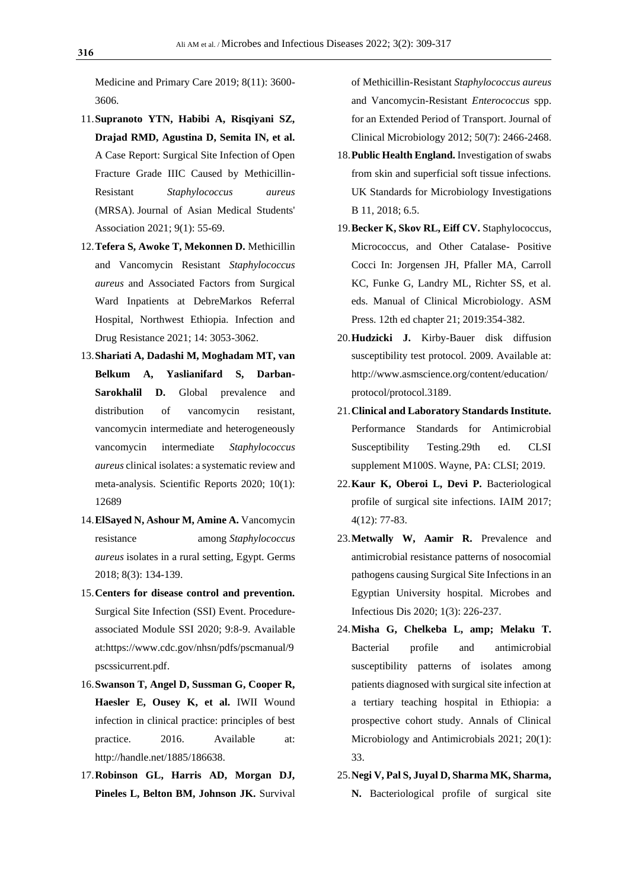Medicine and Primary Care 2019; 8(11): 3600- 3606.

- 11.**Supranoto YTN, Habibi A, Risqiyani SZ, Drajad RMD, Agustina D, Semita IN, et al.** A Case Report: Surgical Site Infection of Open Fracture Grade IIIC Caused by Methicillin-Resistant *Staphylococcus aureus* (MRSA). Journal of Asian Medical Students' Association 2021; 9(1): 55-69.
- 12.**Tefera S, Awoke T, Mekonnen D.** Methicillin and Vancomycin Resistant *Staphylococcus aureus* and Associated Factors from Surgical Ward Inpatients at DebreMarkos Referral Hospital, Northwest Ethiopia. Infection and Drug Resistance 2021; 14: 3053-3062.
- 13.**Shariati A, Dadashi M, Moghadam MT, van Belkum A, Yaslianifard S, Darban-Sarokhalil D.** Global prevalence and distribution of vancomycin resistant, vancomycin intermediate and heterogeneously vancomycin intermediate *Staphylococcus aureus* clinical isolates: a systematic review and meta-analysis. Scientific Reports 2020; 10(1): 12689
- 14.**ElSayed N, Ashour M, Amine A.** Vancomycin resistance among *Staphylococcus aureus* isolates in a rural setting, Egypt. Germs 2018; 8(3): 134-139.
- 15.**Centers for disease control and prevention.** Surgical Site Infection (SSI) Event. Procedureassociated Module SSI 2020; 9:8-9. Available at:https://www.cdc.gov/nhsn/pdfs/pscmanual/9 pscssicurrent.pdf.
- 16.**Swanson T, Angel D, Sussman G, Cooper R, Haesler E, Ousey K, et al.** IWII Wound infection in clinical practice: principles of best practice. 2016. Available at: [http://handle.net/1885/186638.](http://handle.net/1885/186638)
- 17.**Robinson GL, Harris AD, Morgan DJ, Pineles L, Belton BM, Johnson JK.** Survival

of Methicillin-Resistant *Staphylococcus aureus* and Vancomycin-Resistant *Enterococcus* spp. for an Extended Period of Transport. Journal of Clinical Microbiology 2012; 50(7): 2466-2468.

- 18.**Public Health England.** Investigation of swabs from skin and superficial soft tissue infections. UK Standards for Microbiology Investigations B 11, 2018; 6.5.
- 19.**Becker K, Skov RL, Eiff CV.** Staphylococcus, Micrococcus, and Other Catalase- Positive Cocci In: Jorgensen JH, Pfaller MA, Carroll KC, Funke G, Landry ML, Richter SS, et al. eds. Manual of Clinical Microbiology. ASM Press. 12th ed chapter 21; 2019:354-382.
- 20.**Hudzicki J.** Kirby-Bauer disk diffusion susceptibility test protocol. 2009. Available at: [http://www.asmscience.org/content/education/](http://www.asmscience.org/content/education/protocol/protocol.3189) [protocol/protocol.3189.](http://www.asmscience.org/content/education/protocol/protocol.3189)
- 21.**Clinical and Laboratory Standards Institute.** Performance Standards for Antimicrobial Susceptibility Testing.29th ed. CLSI supplement M100S. Wayne, PA: CLSI; 2019.
- 22.**Kaur K, Oberoi L, Devi P.** Bacteriological profile of surgical site infections. IAIM 2017; 4(12): 77-83.
- 23.**Metwally W, Aamir R.** Prevalence and antimicrobial resistance patterns of nosocomial pathogens causing Surgical Site Infections in an Egyptian University hospital. Microbes and Infectious Dis 2020; 1(3): 226-237.
- 24.**Misha G, Chelkeba L, amp; Melaku T.** Bacterial profile and antimicrobial susceptibility patterns of isolates among patients diagnosed with surgical site infection at a tertiary teaching hospital in Ethiopia: a prospective cohort study. Annals of Clinical Microbiology and Antimicrobials 2021; 20(1): 33.
- 25.**Negi V, Pal S, Juyal D, Sharma MK, Sharma, N.** Bacteriological profile of surgical site